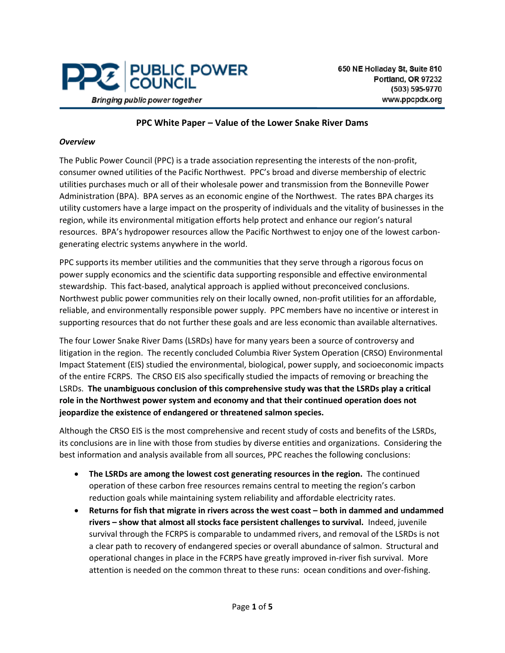

#### **PPC White Paper – Value of the Lower Snake River Dams**

#### *Overview*

The Public Power Council (PPC) is a trade association representing the interests of the non-profit, consumer owned utilities of the Pacific Northwest. PPC's broad and diverse membership of electric utilities purchases much or all of their wholesale power and transmission from the Bonneville Power Administration (BPA). BPA serves as an economic engine of the Northwest. The rates BPA charges its utility customers have a large impact on the prosperity of individuals and the vitality of businesses in the region, while its environmental mitigation efforts help protect and enhance our region's natural resources. BPA's hydropower resources allow the Pacific Northwest to enjoy one of the lowest carbongenerating electric systems anywhere in the world.

PPC supports its member utilities and the communities that they serve through a rigorous focus on power supply economics and the scientific data supporting responsible and effective environmental stewardship. This fact-based, analytical approach is applied without preconceived conclusions. Northwest public power communities rely on their locally owned, non-profit utilities for an affordable, reliable, and environmentally responsible power supply. PPC members have no incentive or interest in supporting resources that do not further these goals and are less economic than available alternatives.

The four Lower Snake River Dams (LSRDs) have for many years been a source of controversy and litigation in the region. The recently concluded Columbia River System Operation (CRSO) Environmental Impact Statement (EIS) studied the environmental, biological, power supply, and socioeconomic impacts of the entire FCRPS. The CRSO EIS also specifically studied the impacts of removing or breaching the LSRDs. **The unambiguous conclusion of this comprehensive study was that the LSRDs play a critical role in the Northwest power system and economy and that their continued operation does not jeopardize the existence of endangered or threatened salmon species.**

Although the CRSO EIS is the most comprehensive and recent study of costs and benefits of the LSRDs, its conclusions are in line with those from studies by diverse entities and organizations. Considering the best information and analysis available from all sources, PPC reaches the following conclusions:

- **The LSRDs are among the lowest cost generating resources in the region.** The continued operation of these carbon free resources remains central to meeting the region's carbon reduction goals while maintaining system reliability and affordable electricity rates.
- **Returns for fish that migrate in rivers across the west coast – both in dammed and undammed rivers – show that almost all stocks face persistent challenges to survival.** Indeed, juvenile survival through the FCRPS is comparable to undammed rivers, and removal of the LSRDs is not a clear path to recovery of endangered species or overall abundance of salmon. Structural and operational changes in place in the FCRPS have greatly improved in-river fish survival. More attention is needed on the common threat to these runs: ocean conditions and over-fishing.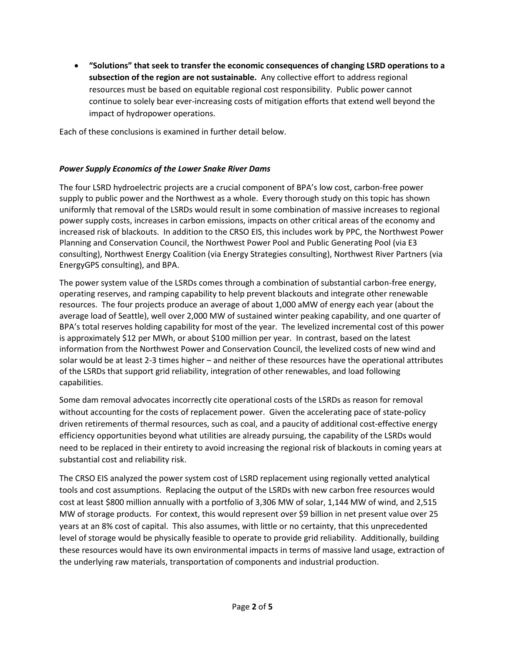• **"Solutions" that seek to transfer the economic consequences of changing LSRD operations to a subsection of the region are not sustainable.** Any collective effort to address regional resources must be based on equitable regional cost responsibility. Public power cannot continue to solely bear ever-increasing costs of mitigation efforts that extend well beyond the impact of hydropower operations.

Each of these conclusions is examined in further detail below.

## *Power Supply Economics of the Lower Snake River Dams*

The four LSRD hydroelectric projects are a crucial component of BPA's low cost, carbon-free power supply to public power and the Northwest as a whole. Every thorough study on this topic has shown uniformly that removal of the LSRDs would result in some combination of massive increases to regional power supply costs, increases in carbon emissions, impacts on other critical areas of the economy and increased risk of blackouts. In addition to the CRSO EIS, this includes work by PPC, the Northwest Power Planning and Conservation Council, the Northwest Power Pool and Public Generating Pool (via E3 consulting), Northwest Energy Coalition (via Energy Strategies consulting), Northwest River Partners (via EnergyGPS consulting), and BPA.

The power system value of the LSRDs comes through a combination of substantial carbon-free energy, operating reserves, and ramping capability to help prevent blackouts and integrate other renewable resources. The four projects produce an average of about 1,000 aMW of energy each year (about the average load of Seattle), well over 2,000 MW of sustained winter peaking capability, and one quarter of BPA's total reserves holding capability for most of the year. The levelized incremental cost of this power is approximately \$12 per MWh, or about \$100 million per year. In contrast, based on the latest information from the Northwest Power and Conservation Council, the levelized costs of new wind and solar would be at least 2-3 times higher – and neither of these resources have the operational attributes of the LSRDs that support grid reliability, integration of other renewables, and load following capabilities.

Some dam removal advocates incorrectly cite operational costs of the LSRDs as reason for removal without accounting for the costs of replacement power. Given the accelerating pace of state-policy driven retirements of thermal resources, such as coal, and a paucity of additional cost-effective energy efficiency opportunities beyond what utilities are already pursuing, the capability of the LSRDs would need to be replaced in their entirety to avoid increasing the regional risk of blackouts in coming years at substantial cost and reliability risk.

The CRSO EIS analyzed the power system cost of LSRD replacement using regionally vetted analytical tools and cost assumptions. Replacing the output of the LSRDs with new carbon free resources would cost at least \$800 million annually with a portfolio of 3,306 MW of solar, 1,144 MW of wind, and 2,515 MW of storage products. For context, this would represent over \$9 billion in net present value over 25 years at an 8% cost of capital. This also assumes, with little or no certainty, that this unprecedented level of storage would be physically feasible to operate to provide grid reliability. Additionally, building these resources would have its own environmental impacts in terms of massive land usage, extraction of the underlying raw materials, transportation of components and industrial production.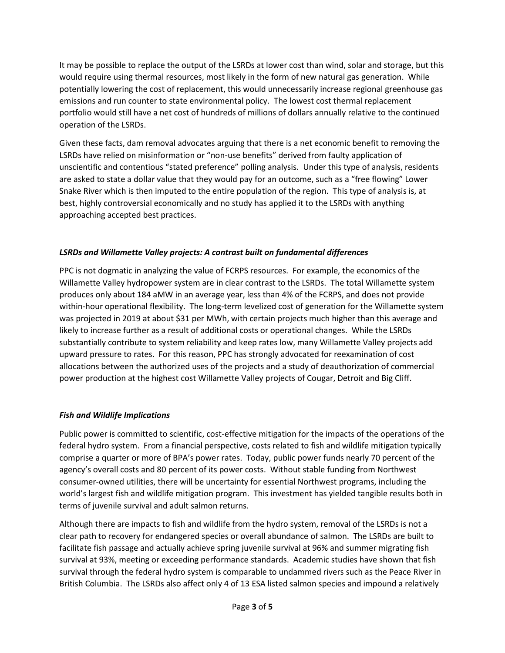It may be possible to replace the output of the LSRDs at lower cost than wind, solar and storage, but this would require using thermal resources, most likely in the form of new natural gas generation. While potentially lowering the cost of replacement, this would unnecessarily increase regional greenhouse gas emissions and run counter to state environmental policy. The lowest cost thermal replacement portfolio would still have a net cost of hundreds of millions of dollars annually relative to the continued operation of the LSRDs.

Given these facts, dam removal advocates arguing that there is a net economic benefit to removing the LSRDs have relied on misinformation or "non-use benefits" derived from faulty application of unscientific and contentious "stated preference" polling analysis. Under this type of analysis, residents are asked to state a dollar value that they would pay for an outcome, such as a "free flowing" Lower Snake River which is then imputed to the entire population of the region. This type of analysis is, at best, highly controversial economically and no study has applied it to the LSRDs with anything approaching accepted best practices.

# *LSRDs and Willamette Valley projects: A contrast built on fundamental differences*

PPC is not dogmatic in analyzing the value of FCRPS resources. For example, the economics of the Willamette Valley hydropower system are in clear contrast to the LSRDs. The total Willamette system produces only about 184 aMW in an average year, less than 4% of the FCRPS, and does not provide within-hour operational flexibility. The long-term levelized cost of generation for the Willamette system was projected in 2019 at about \$31 per MWh, with certain projects much higher than this average and likely to increase further as a result of additional costs or operational changes. While the LSRDs substantially contribute to system reliability and keep rates low, many Willamette Valley projects add upward pressure to rates. For this reason, PPC has strongly advocated for reexamination of cost allocations between the authorized uses of the projects and a study of deauthorization of commercial power production at the highest cost Willamette Valley projects of Cougar, Detroit and Big Cliff.

## *Fish and Wildlife Implications*

Public power is committed to scientific, cost-effective mitigation for the impacts of the operations of the federal hydro system. From a financial perspective, costs related to fish and wildlife mitigation typically comprise a quarter or more of BPA's power rates. Today, public power funds nearly 70 percent of the agency's overall costs and 80 percent of its power costs. Without stable funding from Northwest consumer-owned utilities, there will be uncertainty for essential Northwest programs, including the world's largest fish and wildlife mitigation program. This investment has yielded tangible results both in terms of juvenile survival and adult salmon returns.

Although there are impacts to fish and wildlife from the hydro system, removal of the LSRDs is not a clear path to recovery for endangered species or overall abundance of salmon. The LSRDs are built to facilitate fish passage and actually achieve spring juvenile survival at 96% and summer migrating fish survival at 93%, meeting or exceeding performance standards. Academic studies have shown that fish survival through the federal hydro system is comparable to undammed rivers such as the Peace River in British Columbia. The LSRDs also affect only 4 of 13 ESA listed salmon species and impound a relatively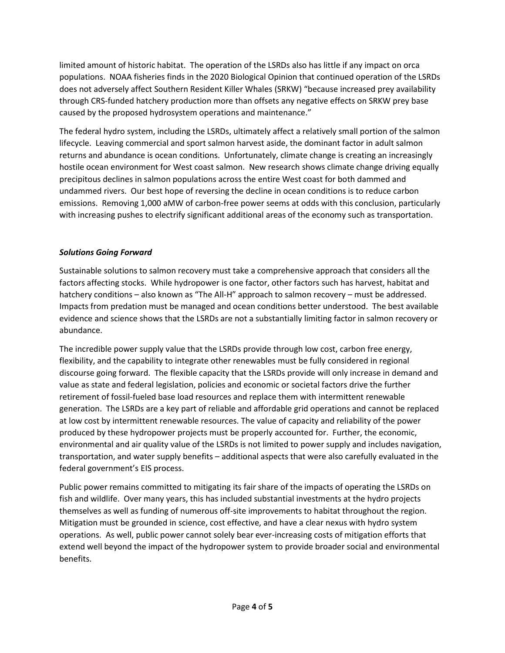limited amount of historic habitat. The operation of the LSRDs also has little if any impact on orca populations. NOAA fisheries finds in the 2020 Biological Opinion that continued operation of the LSRDs does not adversely affect Southern Resident Killer Whales (SRKW) "because increased prey availability through CRS-funded hatchery production more than offsets any negative effects on SRKW prey base caused by the proposed hydrosystem operations and maintenance."

The federal hydro system, including the LSRDs, ultimately affect a relatively small portion of the salmon lifecycle. Leaving commercial and sport salmon harvest aside, the dominant factor in adult salmon returns and abundance is ocean conditions. Unfortunately, climate change is creating an increasingly hostile ocean environment for West coast salmon. New research shows climate change driving equally precipitous declines in salmon populations across the entire West coast for both dammed and undammed rivers. Our best hope of reversing the decline in ocean conditions is to reduce carbon emissions. Removing 1,000 aMW of carbon-free power seems at odds with this conclusion, particularly with increasing pushes to electrify significant additional areas of the economy such as transportation.

# *Solutions Going Forward*

Sustainable solutions to salmon recovery must take a comprehensive approach that considers all the factors affecting stocks. While hydropower is one factor, other factors such has harvest, habitat and hatchery conditions – also known as "The All-H" approach to salmon recovery – must be addressed. Impacts from predation must be managed and ocean conditions better understood. The best available evidence and science shows that the LSRDs are not a substantially limiting factor in salmon recovery or abundance.

The incredible power supply value that the LSRDs provide through low cost, carbon free energy, flexibility, and the capability to integrate other renewables must be fully considered in regional discourse going forward. The flexible capacity that the LSRDs provide will only increase in demand and value as state and federal legislation, policies and economic or societal factors drive the further retirement of fossil-fueled base load resources and replace them with intermittent renewable generation. The LSRDs are a key part of reliable and affordable grid operations and cannot be replaced at low cost by intermittent renewable resources. The value of capacity and reliability of the power produced by these hydropower projects must be properly accounted for. Further, the economic, environmental and air quality value of the LSRDs is not limited to power supply and includes navigation, transportation, and water supply benefits – additional aspects that were also carefully evaluated in the federal government's EIS process.

Public power remains committed to mitigating its fair share of the impacts of operating the LSRDs on fish and wildlife. Over many years, this has included substantial investments at the hydro projects themselves as well as funding of numerous off-site improvements to habitat throughout the region. Mitigation must be grounded in science, cost effective, and have a clear nexus with hydro system operations. As well, public power cannot solely bear ever-increasing costs of mitigation efforts that extend well beyond the impact of the hydropower system to provide broader social and environmental benefits.